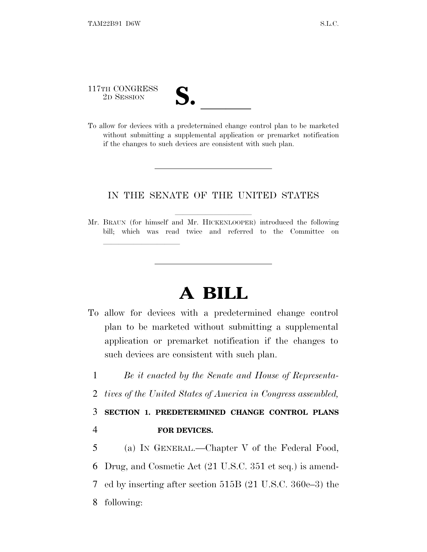117TH CONGRESS

lland and a state of the state of the state of the state of the state of the state of the state of the state o

- 
- 117TH CONGRESS<br>
2D SESSION<br>
To allow for devices with a predetermined change control plan to be marketed without submitting a supplemental application or premarket notification if the changes to such devices are consistent with such plan.

## IN THE SENATE OF THE UNITED STATES

Mr. BRAUN (for himself and Mr. HICKENLOOPER) introduced the following bill; which was read twice and referred to the Committee on

## **A BILL**

- To allow for devices with a predetermined change control plan to be marketed without submitting a supplemental application or premarket notification if the changes to such devices are consistent with such plan.
	- 1 *Be it enacted by the Senate and House of Representa-*
	- 2 *tives of the United States of America in Congress assembled,*

## 3 **SECTION 1. PREDETERMINED CHANGE CONTROL PLANS** 4 **FOR DEVICES.**

 (a) I<sup>N</sup> GENERAL.—Chapter V of the Federal Food, Drug, and Cosmetic Act (21 U.S.C. 351 et seq.) is amend- ed by inserting after section 515B (21 U.S.C. 360e–3) the following: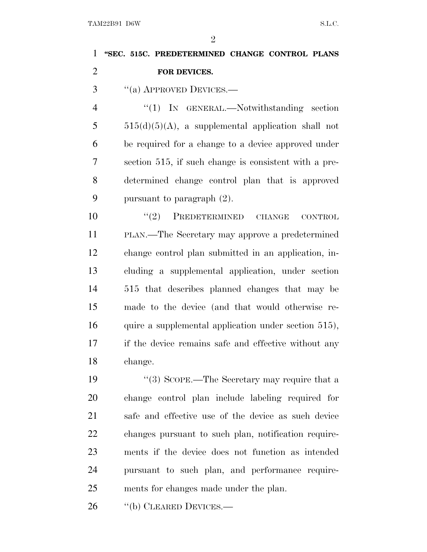TAM22B91 D6W S.L.C.

| $\mathbf{1}$   | "SEC. 515C. PREDETERMINED CHANGE CONTROL PLANS        |
|----------------|-------------------------------------------------------|
| $\overline{2}$ | FOR DEVICES.                                          |
| 3              | "(a) APPROVED DEVICES.—                               |
| $\overline{4}$ | "(1) IN GENERAL.—Notwithstanding section              |
| 5              | $515(d)(5)(A)$ , a supplemental application shall not |
| 6              | be required for a change to a device approved under   |
| 7              | section 515, if such change is consistent with a pre- |
| 8              | determined change control plan that is approved       |
| 9              | pursuant to paragraph $(2)$ .                         |
| 10             | $(2)$ PREDETERMINED CHANGE<br><b>CONTROL</b>          |
| 11             | PLAN.—The Secretary may approve a predetermined       |
| 12             | change control plan submitted in an application, in-  |
| 13             | cluding a supplemental application, under section     |
| 14             | 515 that describes planned changes that may be        |
| 15             | made to the device (and that would otherwise re-      |
| 16             | quire a supplemental application under section 515),  |
| 17             | if the device remains safe and effective without any  |
| 18             | change.                                               |
| 19             | "(3) SCOPE.—The Secretary may require that a          |
| 20             | change control plan include labeling required for     |
| 21             | safe and effective use of the device as such device   |
| 22             | changes pursuant to such plan, notification require-  |
| 23             | ments if the device does not function as intended     |
| 24             | pursuant to such plan, and performance require-       |
| 25             | ments for changes made under the plan.                |
| 26             | "(b) CLEARED DEVICES.—                                |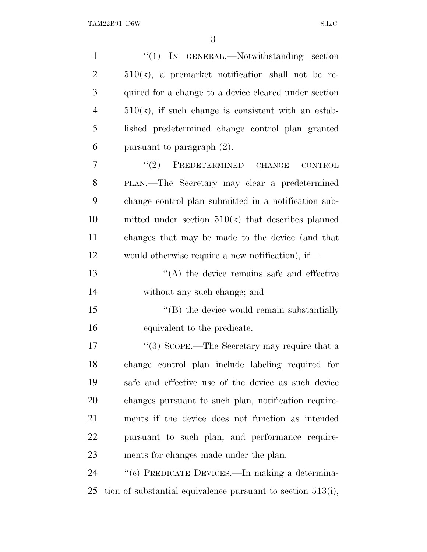| $\mathbf{1}$   | "(1) IN GENERAL.—Notwithstanding section                       |
|----------------|----------------------------------------------------------------|
| $\overline{2}$ | $510(k)$ , a premarket notification shall not be re-           |
| 3              | quired for a change to a device cleared under section          |
| $\overline{4}$ | $510(k)$ , if such change is consistent with an estab-         |
| 5              | lished predetermined change control plan granted               |
| 6              | pursuant to paragraph $(2)$ .                                  |
| $\overline{7}$ | $(2)$ PREDETERMINED CHANGE<br><b>CONTROL</b>                   |
| 8              | PLAN.—The Secretary may clear a predetermined                  |
| 9              | change control plan submitted in a notification sub-           |
| 10             | mitted under section $510(k)$ that describes planned           |
| 11             | changes that may be made to the device (and that               |
| 12             | would otherwise require a new notification), if—               |
| 13             | $\lq\lq$ the device remains safe and effective                 |
| 14             | without any such change; and                                   |
| 15             | "(B) the device would remain substantially                     |
| 16             | equivalent to the predicate.                                   |
| 17             | "(3) SCOPE.—The Secretary may require that a                   |
| 18             | change control plan include labeling required for              |
| 19             | safe and effective use of the device as such device            |
| 20             | changes pursuant to such plan, notification require-           |
| 21             | ments if the device does not function as intended              |
| 22             | pursuant to such plan, and performance require-                |
| 23             | ments for changes made under the plan.                         |
| 24             | "(c) PREDICATE DEVICES.—In making a determina-                 |
| 25             | tion of substantial equivalence pursuant to section $513(i)$ , |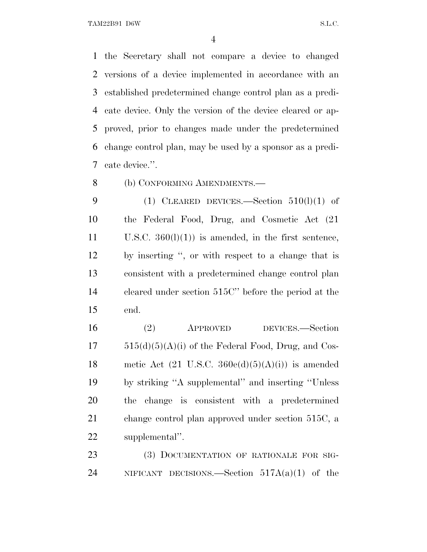TAM22B91 D6W S.L.C.

 the Secretary shall not compare a device to changed versions of a device implemented in accordance with an established predetermined change control plan as a predi- cate device. Only the version of the device cleared or ap- proved, prior to changes made under the predetermined change control plan, may be used by a sponsor as a predi-cate device.''.

8 (b) CONFORMING AMENDMENTS.

9 (1) CLEARED DEVICES.—Section  $510(l)(1)$  of the Federal Food, Drug, and Cosmetic Act (21 11 U.S.C.  $360(l)(1)$  is amended, in the first sentence, by inserting '', or with respect to a change that is consistent with a predetermined change control plan cleared under section 515C'' before the period at the end.

 (2) APPROVED DEVICES.—Section  $17 \qquad 515(d)(5)(A)(i)$  of the Federal Food, Drug, and Cos-18 metic Act  $(21 \text{ U.S.C. } 360e(d)(5)(A)(i))$  is amended by striking ''A supplemental'' and inserting ''Unless the change is consistent with a predetermined change control plan approved under section 515C, a supplemental''.

23 (3) DOCUMENTATION OF RATIONALE FOR SIG-24 NIFICANT DECISIONS.—Section  $517A(a)(1)$  of the